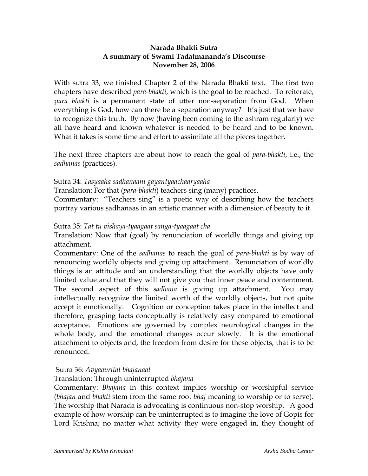# **Narada Bhakti Sutra A summary of Swami Tadatmananda's Discourse November 28, 2006**

With sutra 33, we finished Chapter 2 of the Narada Bhakti text. The first two chapters have described *para-bhakti*, which is the goal to be reached. To reiterate, p*ara bhakti* is a permanent state of utter non-separation from God. When everything is God, how can there be a separation anyway? It's just that we have to recognize this truth. By now (having been coming to the ashram regularly) we all have heard and known whatever is needed to be heard and to be known. What it takes is some time and effort to assimilate all the pieces together.

The next three chapters are about how to reach the goal of *para*-*bhakti*, i.e., the *sadhanas* (practices).

### Sutra 34: *Tasyaaha sadhanaani gayantyaachaaryaaha*

Translation: For that (*para*-*bhakti*) teachers sing (many) practices.

Commentary: "Teachers sing" is a poetic way of describing how the teachers portray various sadhanaas in an artistic manner with a dimension of beauty to it.

### Sutra 35: *Tat tu vishaya-tyaagaat sanga-tyaagaat cha*

Translation: Now that (goal) by renunciation of worldly things and giving up attachment.

Commentary: One of the *sadhanas* to reach the goal of *para*-*bhakti* is by way of renouncing worldly objects and giving up attachment. Renunciation of worldly things is an attitude and an understanding that the worldly objects have only limited value and that they will not give you that inner peace and contentment. The second aspect of this *sadhana* is giving up attachment. You may intellectually recognize the limited worth of the worldly objects, but not quite accept it emotionally. Cognition or conception takes place in the intellect and therefore, grasping facts conceptually is relatively easy compared to emotional acceptance. Emotions are governed by complex neurological changes in the whole body, and the emotional changes occur slowly. It is the emotional attachment to objects and, the freedom from desire for these objects, that is to be renounced.

### Sutra 36: *Avyaavritat bhajanaat*

### Translation: Through uninterrupted *bhajana*

Commentary: *Bhajana* in this context implies worship or worshipful service (*bhajan* and *bhakti* stem from the same root *bhaj* meaning to worship or to serve). The worship that Narada is advocating is continuous non-stop worship. A good example of how worship can be uninterrupted is to imagine the love of Gopis for Lord Krishna; no matter what activity they were engaged in, they thought of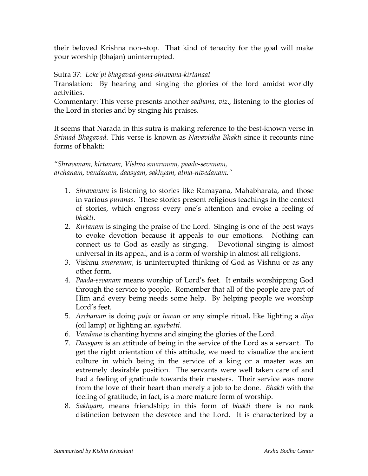their beloved Krishna non-stop. That kind of tenacity for the goal will make your worship (bhajan) uninterrupted.

# Sutra 37: *Loke'pi bhagavad-guna-shravana-kirtanaat*

Translation: By hearing and singing the glories of the lord amidst worldly activities.

Commentary: This verse presents another *sadhana*, *viz*., listening to the glories of the Lord in stories and by singing his praises.

It seems that Narada in this sutra is making reference to the best-known verse in *Srimad Bhagavad*. This verse is known as *Navavidha Bhakti* since it recounts nine forms of bhakti:

*"Shravanam, kirtanam, Vishno smaranam, paada-sevanam, archanam, vandanam, daasyam, sakhyam, atma-nivedanam."*

- 1. *Shravanam* is listening to stories like Ramayana, Mahabharata, and those in various *puranas*. These stories present religious teachings in the context of stories, which engross every one's attention and evoke a feeling of *bhakti*.
- 2. *Kirtanam* is singing the praise of the Lord. Singing is one of the best ways to evoke devotion because it appeals to our emotions. Nothing can connect us to God as easily as singing. Devotional singing is almost universal in its appeal, and is a form of worship in almost all religions.
- 3. Vishnu *smaranam*, is uninterrupted thinking of God as Vishnu or as any other form.
- 4. *Paada*-*sevanam* means worship of Lord's feet. It entails worshipping God through the service to people. Remember that all of the people are part of Him and every being needs some help. By helping people we worship Lord's feet.
- 5. *Archanam* is doing *puja* or *havan* or any simple ritual, like lighting a *diya* (oil lamp) or lighting an *agarbatti*.
- 6. *Vandana* is chanting hymns and singing the glories of the Lord.
- 7. *Daasyam* is an attitude of being in the service of the Lord as a servant. To get the right orientation of this attitude, we need to visualize the ancient culture in which being in the service of a king or a master was an extremely desirable position. The servants were well taken care of and had a feeling of gratitude towards their masters. Their service was more from the love of their heart than merely a job to be done. *Bhakti* with the feeling of gratitude, in fact, is a more mature form of worship.
- 8. *Sakhyam*, means friendship; in this form of *bhakti* there is no rank distinction between the devotee and the Lord. It is characterized by a